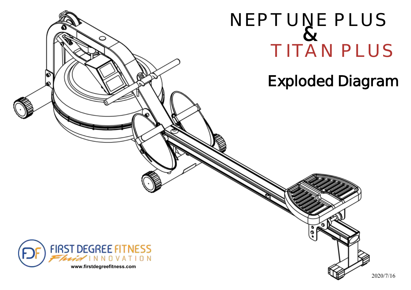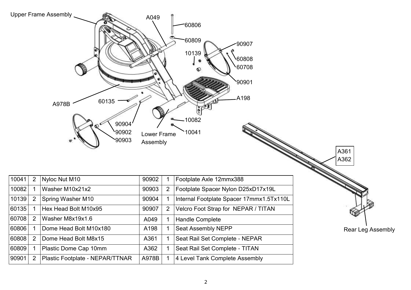|       |                | <b>Upper Frame Assembly</b><br>60135<br>A978B<br>90904<br>90902<br>90903 | A049<br>Lower Frame<br>Assembly |   | 60806<br>60809<br>$-90907$<br>10139<br>60808<br>60708<br>90901<br>A198<br>$\sqrt{2}$<br>$-10082$<br>10041 | A361<br>A362      |
|-------|----------------|--------------------------------------------------------------------------|---------------------------------|---|-----------------------------------------------------------------------------------------------------------|-------------------|
| 10041 | 2              | Nyloc Nut M10                                                            | 90902                           |   | Footplate Axle 12mmx388                                                                                   |                   |
| 10082 | $\mathbf{1}$   | Washer M10x21x2                                                          | 90903                           | 2 | Footplate Spacer Nylon D25xD17x19L                                                                        |                   |
| 10139 | $\overline{2}$ | Spring Washer M10                                                        | 90904                           |   | Internal Footplate Spacer 17mmx1.5Tx110L                                                                  |                   |
| 60135 | 1              | Hex Head Bolt M10x95                                                     | 90907                           | 2 | Velcro Foot Strap for NEPAR / TITAN                                                                       |                   |
| 60708 | 2              | Washer M8x19x1.6                                                         | A049                            |   | <b>Handle Complete</b>                                                                                    |                   |
| 60806 | 1              | Dome Head Bolt M10x180                                                   | A198                            |   | Seat Assembly NEPP                                                                                        | Rear Leg Assembly |
| 60808 | 2              | Dome Head Bolt M8x15                                                     | A361                            |   | Seat Rail Set Complete - NEPAR                                                                            |                   |
| 60809 |                | Plastic Dome Cap 10mm                                                    | A362                            |   | Seat Rail Set Complete - TITAN                                                                            |                   |
| 90901 | 2              | Plastic Footplate - NEPAR/TTNAR                                          | A978B                           |   | 4 Level Tank Complete Assembly                                                                            |                   |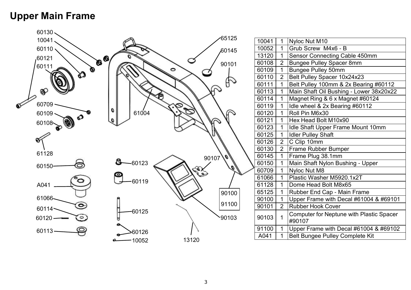### **Upper Main Frame**



| 10041 | 1              | Nyloc Nut M10                                      |
|-------|----------------|----------------------------------------------------|
| 10052 | $\overline{1}$ | Grub Screw M4x6 - B                                |
| 13120 | 1              | Sensor Connecting Cable 450mm                      |
| 60108 | $\overline{2}$ | <b>Bungee Pulley Spacer 8mm</b>                    |
| 60109 | $\overline{1}$ | <b>Bungee Pulley 50mm</b>                          |
| 60110 | $\overline{2}$ | Belt Pulley Spacer 10x24x23                        |
| 60111 | $\overline{1}$ | Belt Pulley 100mm & 2x Bearing #60112              |
| 60113 | 1              | Main Shaft Oil Bushing - Lower 38x20x22            |
| 60114 | $\overline{1}$ | Magnet Ring & 6 x Magnet #60124                    |
| 60119 | $\overline{1}$ | Idle wheel & 2x Bearing #60112                     |
| 60120 | 1              | Roll Pin M6x30                                     |
| 60121 | $\overline{1}$ | Hex Head Bolt M10x90                               |
| 60123 | 1              | Idle Shaft Upper Frame Mount 10mm                  |
| 60125 | $\mathbf 1$    | <b>Idler Pulley Shaft</b>                          |
| 60126 | $\overline{2}$ | C Clip 10mm                                        |
| 60130 | $\overline{2}$ | Frame Rubber Bumper                                |
| 60145 | $\overline{1}$ | Frame Plug 38.1mm                                  |
| 60150 | 1              | Main Shaft Nylon Bushing - Upper                   |
| 60709 | 1              | Nyloc Nut M8                                       |
| 61066 | 1              | Plastic Washer M5920.1x2T                          |
| 61128 | $\overline{1}$ | Dome Head Bolt M8x65                               |
| 65125 | 1              | Rubber End Cap - Main Frame                        |
| 90100 | $\mathbf{1}$   | Upper Frame with Decal #61004 & #69101             |
| 90101 | $\overline{2}$ | <b>Rubber Hook Cover</b>                           |
| 90103 | $\overline{1}$ | Computer for Neptune with Plastic Spacer<br>#90107 |
| 91100 | 1              | Upper Frame with Decal #61004 & #69102             |
| A041  | 1              | <b>Belt Bungee Pulley Complete Kit</b>             |
|       |                |                                                    |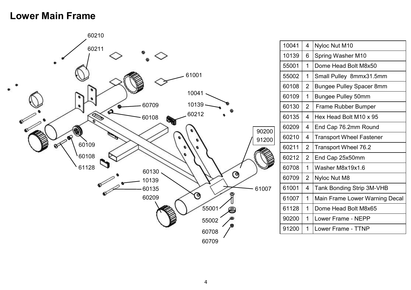#### **Lower Main Frame**



| 10041 | 4              | Nyloc Nut M10                         |
|-------|----------------|---------------------------------------|
| 10139 | 6              | Spring Washer M10                     |
| 55001 | 1              | Dome Head Bolt M8x50                  |
| 55002 | 1              | Small Pulley 8mmx31.5mm               |
| 60108 | $\overline{2}$ | <b>Bungee Pulley Spacer 8mm</b>       |
| 60109 | 1              | <b>Bungee Pulley 50mm</b>             |
| 60130 | $\overline{2}$ | Frame Rubber Bumper                   |
| 60135 | 4              | Hex Head Bolt M10 x 95                |
| 60209 | 4              | End Cap 76.2mm Round                  |
| 60210 | 4              | <b>Transport Wheel Fastener</b>       |
| 60211 | $\overline{2}$ | Transport Wheel 76.2                  |
| 60212 | $\overline{2}$ | End Cap 25x50mm                       |
| 60708 | 1              | Washer M8x19x1.6                      |
| 60709 | $\overline{2}$ | Nyloc Nut M8                          |
| 61001 | 4              | <b>Tank Bonding Strip 3M-VHB</b>      |
| 61007 | 1              | <b>Main Frame Lower Warning Decal</b> |
| 61128 | 1              | Dome Head Bolt M8x65                  |
| 90200 | 1              | Lower Frame - NEPP                    |
| 91200 | 1              | Lower Frame - TTNP                    |
|       |                |                                       |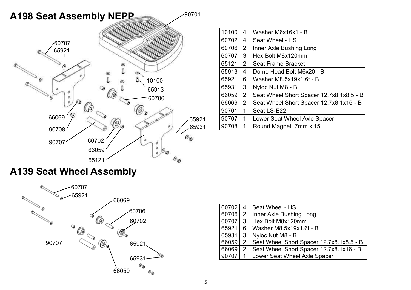

| 10100 | 4              | Washer M6x16x1 - B                       |
|-------|----------------|------------------------------------------|
| 60702 | 4              | Seat Wheel - HS                          |
| 60706 | 2              | Inner Axle Bushing Long                  |
| 60707 | 3              | Hex Bolt M8x120mm                        |
| 65121 | $\overline{2}$ | Seat Frame Bracket                       |
| 65913 | 4              | Dome Head Bolt M6x20 - B                 |
| 65921 | 6              | Washer M8.5x19x1.6t - B                  |
| 65931 | 3              | Nyloc Nut M8 - B                         |
| 66059 | $\overline{2}$ | Seat Wheel Short Spacer 12.7x8.1x8.5 - B |
| 66069 | $\overline{2}$ | Seat Wheel Short Spacer 12.7x8.1x16 - B  |
| 90701 | 1              | Seat LS-E22                              |
| 90707 | 1              | Lower Seat Wheel Axle Spacer             |
| 90708 | 1              | Round Magnet 7mm x 15                    |

# **A139 Seat Wheel Assembly**



| 60702 | 4              | Seat Wheel - HS                          |
|-------|----------------|------------------------------------------|
| 60706 | $\mathbf{2}$   | Inner Axle Bushing Long                  |
| 60707 | 3              | Hex Bolt M8x120mm                        |
| 65921 | 6.             | Washer M8.5x19x1.6t - B                  |
| 65931 | 3              | Nyloc Nut M8 - B                         |
| 66059 | $\overline{2}$ | Seat Wheel Short Spacer 12.7x8.1x8.5 - B |
| 66069 | $\overline{2}$ | Seat Wheel Short Spacer 12.7x8.1x16 - B  |
| 90707 | 1              | Lower Seat Wheel Axle Spacer             |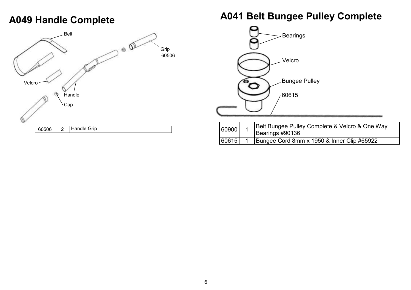# **A049 Handle Complete**



### **A041 Belt Bungee Pulley Complete**



| 60900 | Belt Bungee Pulley Complete & Velcro & One Way<br>Bearings #90136 |
|-------|-------------------------------------------------------------------|
| 60615 | Bungee Cord 8mm x 1950 & Inner Clip #65922                        |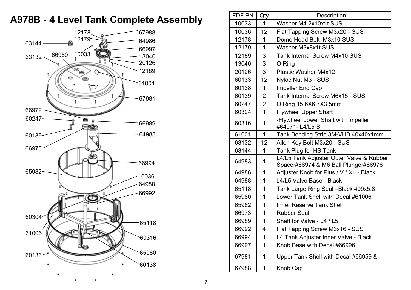# **A978B - 4 Level Tank Complete Assembly**



| FDF PN | Qty            | Description                                                                      |
|--------|----------------|----------------------------------------------------------------------------------|
| 10033  | 1              | Washer M4.2x10x1t SUS                                                            |
| 10036  | 12             | Flat Tapping Screw M3x20 - SUS                                                   |
| 12178  | 1              | Dome Head Bolt M3x10 SUS                                                         |
| 12179  | $\mathbf 1$    | Washer M3x8x1t SUS                                                               |
| 12189  | 3              | <b>Tank Internal Screw M4x10 SUS</b>                                             |
| 13040  | 3              | O Ring                                                                           |
| 20126  | 3              | <b>Plastic Washer M4x12</b>                                                      |
| 60133  | 12             | Nyloc Nut M3 - SUS                                                               |
| 60138  | 1              | Impeller End Cap                                                                 |
| 60139  | $\overline{2}$ | Tank Internal Screw M6x15 - SUS                                                  |
| 60247  | 2              | O Ring 15.6X6.7X3.5mm                                                            |
| 60304  | 1              | <b>Flywheel Upper Shaft</b>                                                      |
| 60316  | 1              | -Flywheel Lower Shaft with Impeller<br>#64971-L4/L5-B                            |
| 61001  | $\mathbf{1}$   | Tank Bonding Strip 3M-VHB 40x40x1mm                                              |
| 63132  | 12             | Allen Key Bolt M3x20 - SUS                                                       |
| 63144  | 1              | Tank Plug for HS Tank                                                            |
| 64983  | 1              | L4/L5 Tank Adjuster Outer Valve & Rubber<br>Spacer#66974 & M6 Ball Plunger#66976 |
| 64986  | $\mathbf 1$    | Adjuster Knob for Plus / V / XL - Black                                          |
| 64988  | 1              | L4/L5 Valve Base - Black                                                         |
| 65118  | 1              | Tank Large Ring Seal - Black 499x5.8                                             |
| 65980  | $\mathbf 1$    | Lower Tank Shell with Decal #61006                                               |
| 65982  | 1              | <b>Inner Reserve Tank Shell</b>                                                  |
| 66973  | 1              | <b>Rubber Seal</b>                                                               |
| 66989  | 1              | Shaft for Valve - L4 / L5                                                        |
| 66992  | 4              | Flat Tapping Screw M3x16 - SUS                                                   |
| 66994  | 1              | L4 Tank Adjuster Inner Valve - Black                                             |
| 66997  | 1              | Knob Base with Decal #66996                                                      |
| 67981  | 1              | Upper Tank Shell with Decal #66959 &                                             |
| 67988  | 1              | Knob Cap                                                                         |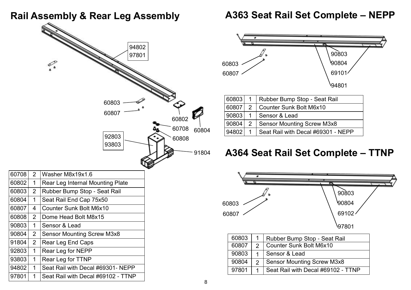#### **Rail Assembly & Rear Leg Assembly**



97801 | 1 | Seat Rail with Decal #69102 - TTNP

#### **A363 Seat Rail Set Complete – NEPP**



### **A364 Seat Rail Set Complete – TTNP**



|  | 90804 2   Sensor Mounting Screw M3x8       |
|--|--------------------------------------------|
|  | 97801 1 Seat Rail with Decal #69102 - TTNP |